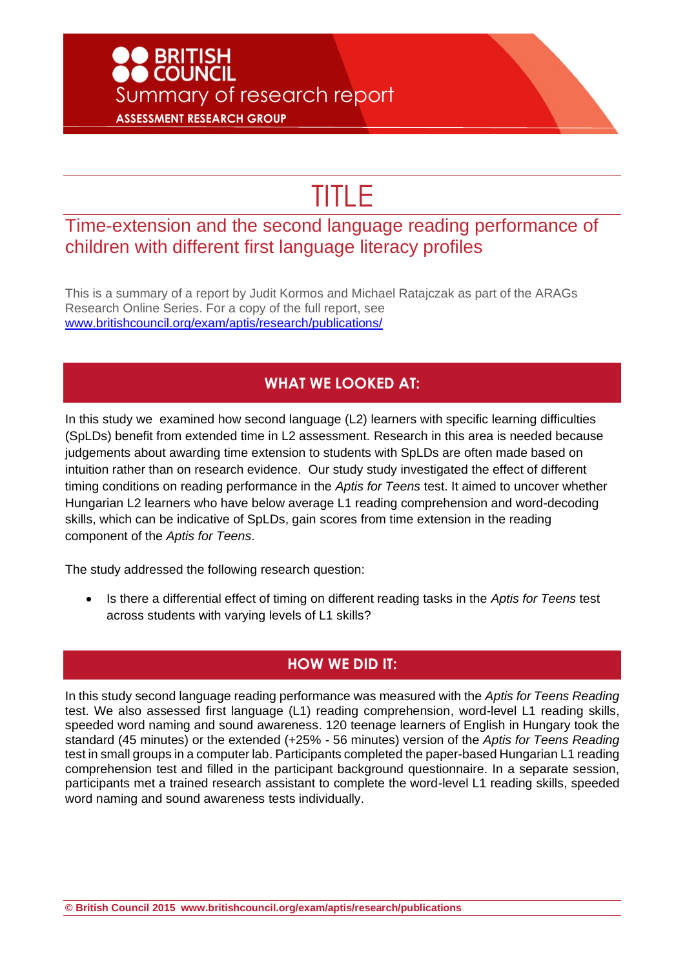## ● BRITISH<br>● COUNCIL Summary of research report **ASSESSMENT RESEARCH GROUP**

# TITLE

### Time-extension and the second language reading performance of children with different first language literacy profiles

This is a summary of a report by Judit Kormos and Michael Ratajczak as part of the ARAGs Research Online Series. For a copy of the full report, see [www.britishcouncil.org/exam/aptis/research/publications/](http://www.britishcouncil.org/exam/aptis/research/publications/)

#### **WHAT WE LOOKED AT:**

In this study we examined how second language (L2) learners with specific learning difficulties (SpLDs) benefit from extended time in L2 assessment. Research in this area is needed because judgements about awarding time extension to students with SpLDs are often made based on intuition rather than on research evidence. Our study study investigated the effect of different timing conditions on reading performance in the *Aptis for Teens* test. It aimed to uncover whether Hungarian L2 learners who have below average L1 reading comprehension and word-decoding skills, which can be indicative of SpLDs, gain scores from time extension in the reading component of the *Aptis for Teens*.

The study addressed the following research question:

• Is there a differential effect of timing on different reading tasks in the *Aptis for Teens* test across students with varying levels of L1 skills?

#### **HOW WE DID IT:**

In this study second language reading performance was measured with the *Aptis for Teens Reading* test. We also assessed first language (L1) reading comprehension, word-level L1 reading skills, speeded word naming and sound awareness. 120 teenage learners of English in Hungary took the standard (45 minutes) or the extended (+25% - 56 minutes) version of the *Aptis for Teens Reading* test in small groups in a computer lab. Participants completed the paper-based Hungarian L1 reading comprehension test and filled in the participant background questionnaire. In a separate session, participants met a trained research assistant to complete the word-level L1 reading skills, speeded word naming and sound awareness tests individually.